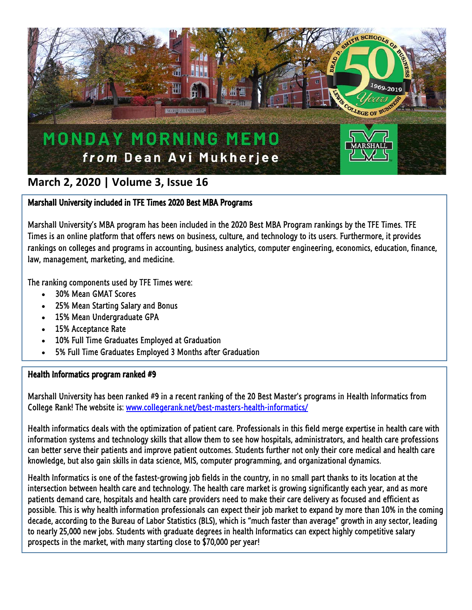

# **March 2, 2020 | Volume 3, Issue 16**

### Marshall University included in TFE Times 2020 Best MBA Programs

Marshall University's MBA program has been included in the 2020 Best MBA Program rankings by the TFE Times. TFE Times is an online platform that offers news on business, culture, and technology to its users. Furthermore, it provides rankings on colleges and programs in accounting, business analytics, computer engineering, economics, education, finance, law, management, marketing, and medicine.

The ranking components used by TFE Times were:

- 30% Mean GMAT Scores
- 25% Mean Starting Salary and Bonus
- 15% Mean Undergraduate GPA
- 15% Acceptance Rate
- 10% Full Time Graduates Employed at Graduation
- 5% Full Time Graduates Employed 3 Months after Graduation

#### Health Informatics program ranked #9

Marshall University has been ranked #9 in a recent ranking of the 20 Best Master's programs in Health Informatics from College Rank! The website is: [www.collegerank.net/best-masters-health-informatics/](https://linkprotect.cudasvc.com/url?a=http%3a%2f%2fwww.collegerank.net%2fbest-masters-health-informatics%2f&c=E,1,OuKbUYU7YI8CFn_4-2xvZaJrGZka_uQ8M8p7arPDSXftLyle7NJ38aVxY5cj2K-1K6ggUo-2pRNljAeUoWJNeiGMjVK6rrA58lrxpio5n6Td4ZhxfyNLmg,,&typo=1)

Health informatics deals with the optimization of patient care. Professionals in this field merge expertise in health care with information systems and technology skills that allow them to see how hospitals, administrators, and health care professions can better serve their patients and improve patient outcomes. Students further not only their core medical and health care knowledge, but also gain skills in data science, MIS, computer programming, and organizational dynamics.

Health Informatics is one of the fastest-growing job fields in the country, in no small part thanks to its location at the intersection between health care and technology. The health care market is growing significantly each year, and as more patients demand care, hospitals and health care providers need to make their care delivery as focused and efficient as possible. This is why health information professionals can expect their job market to expand by more than 10% in the coming decade, according to the Bureau of Labor Statistics (BLS), which is "much faster than average" growth in any sector, leading to nearly 25,000 new jobs. Students with graduate degrees in health Informatics can expect highly competitive salary prospects in the market, with many starting close to \$70,000 per year!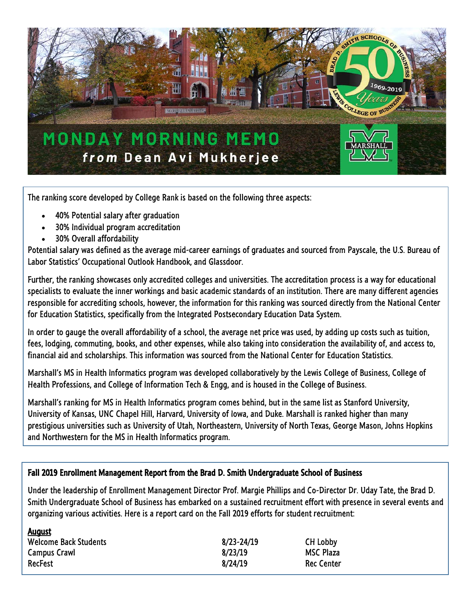

The ranking score developed by College Rank is based on the following three aspects:

- 40% Potential salary after graduation
- 30% Individual program accreditation
- 30% Overall affordability

August

Potential salary was defined as the average mid-career earnings of graduates and sourced from Payscale, the U.S. Bureau of Labor Statistics' Occupational Outlook Handbook, and Glassdoor.

Further, the ranking showcases only accredited colleges and universities. The accreditation process is a way for educational specialists to evaluate the inner workings and basic academic standards of an institution. There are many different agencies responsible for accrediting schools, however, the information for this ranking was sourced directly from the National Center for Education Statistics, specifically from the Integrated Postsecondary Education Data System.

In order to gauge the overall affordability of a school, the average net price was used, by adding up costs such as tuition, fees, lodging, commuting, books, and other expenses, while also taking into consideration the availability of, and access to, financial aid and scholarships. This information was sourced from the National Center for Education Statistics.

Marshall's MS in Health Informatics program was developed collaboratively by the Lewis College of Business, College of Health Professions, and College of Information Tech & Engg, and is housed in the College of Business.

Marshall's ranking for MS in Health Informatics program comes behind, but in the same list as Stanford University, University of Kansas, UNC Chapel Hill, Harvard, University of Iowa, and Duke. Marshall is ranked higher than many prestigious universities such as University of Utah, Northeastern, University of North Texas, George Mason, Johns Hopkins and Northwestern for the MS in Health Informatics program.

#### Fall 2019 Enrollment Management Report from the Brad D. Smith Undergraduate School of Business

Under the leadership of Enrollment Management Director Prof. Margie Phillips and Co-Director Dr. Uday Tate, the Brad D. Smith Undergraduate School of Business has embarked on a sustained recruitment effort with presence in several events and organizing various activities. Here is a report card on the Fall 2019 efforts for student recruitment:

| <u>August</u><br><b>Welcome Back Students</b> | $8/23 - 24/19$ | CH Lobby         |
|-----------------------------------------------|----------------|------------------|
| <b>Campus Crawl</b>                           | 8/23/19        | <b>MSC Plaza</b> |
| RecFest                                       | 8/24/19        | Rec Center       |
|                                               |                |                  |